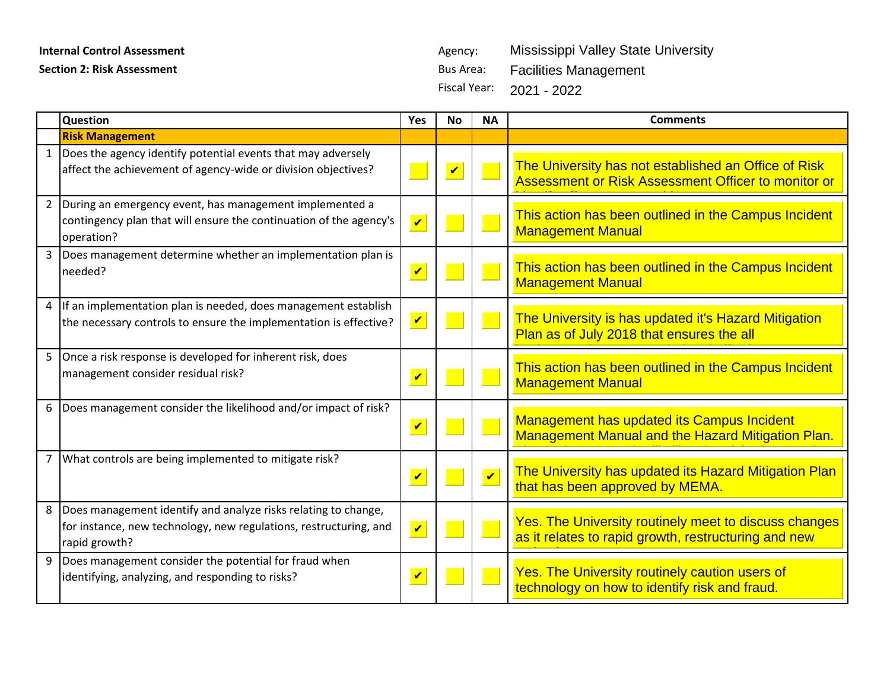## **Internal Control Assessment** Agency:

| <b>Internal Control Assessment</b> |                                                                                                                                                      |                         | Agency:                 |                         | Mississippi Valley State University                                                                                  |
|------------------------------------|------------------------------------------------------------------------------------------------------------------------------------------------------|-------------------------|-------------------------|-------------------------|----------------------------------------------------------------------------------------------------------------------|
| <b>Section 2: Risk Assessment</b>  |                                                                                                                                                      |                         | <b>Bus Area:</b>        |                         | <b>Facilities Management</b>                                                                                         |
|                                    |                                                                                                                                                      |                         | <b>Fiscal Year:</b>     |                         | 2021 - 2022                                                                                                          |
|                                    |                                                                                                                                                      |                         |                         |                         |                                                                                                                      |
|                                    | Question                                                                                                                                             | <b>Yes</b>              | <b>No</b>               | <b>NA</b>               | <b>Comments</b>                                                                                                      |
|                                    | <b>Risk Management</b>                                                                                                                               |                         |                         |                         |                                                                                                                      |
| $\mathbf{1}$                       | Does the agency identify potential events that may adversely<br>affect the achievement of agency-wide or division objectives?                        |                         | $\overline{\mathbf{v}}$ |                         | The University has not established an Office of Risk<br>Assessment or Risk Assessment Officer to monitor or          |
| $\overline{2}$                     | During an emergency event, has management implemented a<br>contingency plan that will ensure the continuation of the agency's<br>operation?          | $\overline{\mathbf{v}}$ |                         |                         | This action has been outlined in the Campus Incident<br><b>Management Manual</b>                                     |
| 3 <sup>1</sup>                     | Does management determine whether an implementation plan is<br>needed?                                                                               | $\mathbf v$             |                         |                         | This action has been outlined in the Campus Incident<br><b>Management Manual</b>                                     |
| 4                                  | If an implementation plan is needed, does management establish<br>the necessary controls to ensure the implementation is effective?                  | $\blacktriangledown$    |                         |                         | The University is has updated it's Hazard Mitigation<br>Plan as of July 2018 that ensures the all                    |
| 5                                  | Once a risk response is developed for inherent risk, does<br>management consider residual risk?                                                      | $\overline{\mathbf{v}}$ |                         |                         | This action has been outlined in the Campus Incident<br><b>Management Manual</b>                                     |
| 6                                  | Does management consider the likelihood and/or impact of risk?                                                                                       | $\blacktriangledown$    |                         |                         | Management has updated its Campus Incident<br>Management Manual and the Hazard Mitigation Plan.                      |
|                                    | What controls are being implemented to mitigate risk?                                                                                                | $\overline{\mathbf{v}}$ |                         | $\overline{\mathbf{v}}$ | The University has updated its Hazard Mitigation Plan<br>that has been approved by MEMA.                             |
| 8                                  | Does management identify and analyze risks relating to change,<br>for instance, new technology, new regulations, restructuring, and<br>rapid growth? | $\overline{\mathbf{v}}$ |                         |                         | <b>Yes. The University routinely meet to discuss changes</b><br>as it relates to rapid growth, restructuring and new |
| 9                                  | Does management consider the potential for fraud when<br>identifying, analyzing, and responding to risks?                                            | $\mathbf v$             |                         |                         | Yes. The University routinely caution users of<br>technology on how to identify risk and fraud.                      |